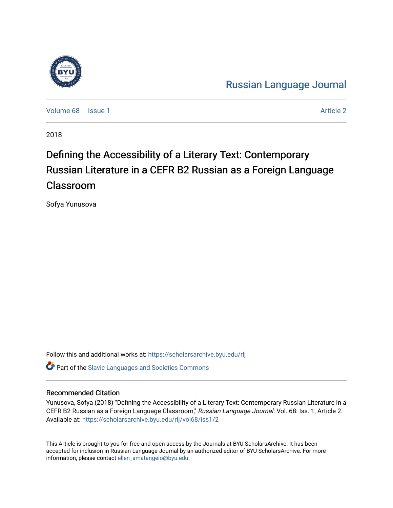

[Russian Language Journal](https://scholarsarchive.byu.edu/rlj) 

[Volume 68](https://scholarsarchive.byu.edu/rlj/vol68) | [Issue 1](https://scholarsarchive.byu.edu/rlj/vol68/iss1) [Article 2](https://scholarsarchive.byu.edu/rlj/vol68/iss1/2) Article 2 Article 2 Article 2 Article 2 Article 2 Article 2 Article 2 Article 2

2018

# Defining the Accessibility of a Literary Text: Contemporary Russian Literature in a CEFR B2 Russian as a Foreign Language Classroom

Sofya Yunusova

Follow this and additional works at: [https://scholarsarchive.byu.edu/rlj](https://scholarsarchive.byu.edu/rlj?utm_source=scholarsarchive.byu.edu%2Frlj%2Fvol68%2Fiss1%2F2&utm_medium=PDF&utm_campaign=PDFCoverPages)

**C** Part of the Slavic Languages and Societies Commons

#### Recommended Citation

Yunusova, Sofya (2018) "Defining the Accessibility of a Literary Text: Contemporary Russian Literature in a CEFR B2 Russian as a Foreign Language Classroom," Russian Language Journal: Vol. 68: Iss. 1, Article 2. Available at: [https://scholarsarchive.byu.edu/rlj/vol68/iss1/2](https://scholarsarchive.byu.edu/rlj/vol68/iss1/2?utm_source=scholarsarchive.byu.edu%2Frlj%2Fvol68%2Fiss1%2F2&utm_medium=PDF&utm_campaign=PDFCoverPages) 

This Article is brought to you for free and open access by the Journals at BYU ScholarsArchive. It has been accepted for inclusion in Russian Language Journal by an authorized editor of BYU ScholarsArchive. For more information, please contact [ellen\\_amatangelo@byu.edu.](mailto:ellen_amatangelo@byu.edu)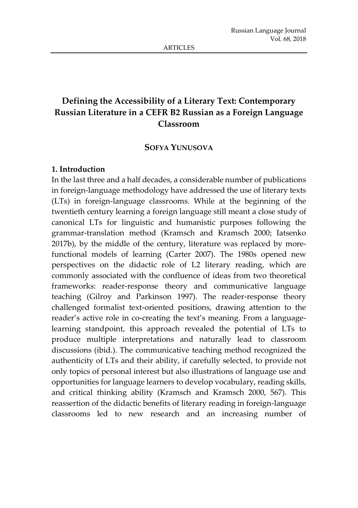# **Defining the Accessibility of a Literary Text: Contemporary Russian Literature in a CEFR B2 Russian as a Foreign Language Classroom**

#### **SOFYA YUNUSOVA**

#### **1. Introduction**

In the last three and a half decades, a considerable number of publications in foreign-language methodology have addressed the use of literary texts (LTs) in foreign-language classrooms. While at the beginning of the twentieth century learning a foreign language still meant a close study of canonical LTs for linguistic and humanistic purposes following the grammar-translation method (Kramsch and Kramsch 2000; Iatsenko 2017b), by the middle of the century, literature was replaced by morefunctional models of learning (Carter 2007). The 1980s opened new perspectives on the didactic role of L2 literary reading, which are commonly associated with the confluence of ideas from two theoretical frameworks: reader-response theory and communicative language teaching (Gilroy and Parkinson 1997). The reader-response theory challenged formalist text-oriented positions, drawing attention to the reader's active role in co-creating the text's meaning. From a languagelearning standpoint, this approach revealed the potential of LTs to produce multiple interpretations and naturally lead to classroom discussions (ibid.). The communicative teaching method recognized the authenticity of LTs and their ability, if carefully selected, to provide not only topics of personal interest but also illustrations of language use and opportunities for language learners to develop vocabulary, reading skills, and critical thinking ability (Kramsch and Kramsch 2000, 567). This reassertion of the didactic benefits of literary reading in foreign-language classrooms led to new research and an increasing number of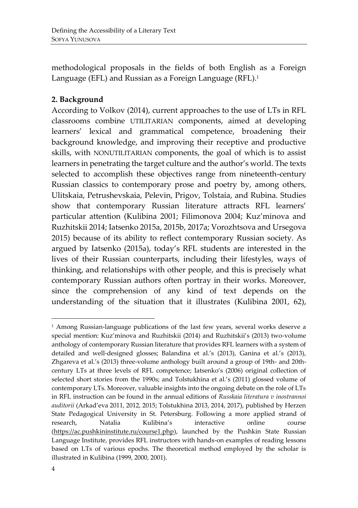methodological proposals in the fields of both English as a Foreign Language (EFL) and Russian as a Foreign Language (RFL).<sup>1</sup>

# **2. Background**

According to Volkov (2014), current approaches to the use of LTs in RFL classrooms combine UTILITARIAN components, aimed at developing learners' lexical and grammatical competence, broadening their background knowledge, and improving their receptive and productive skills, with NONUTILITARIAN components, the goal of which is to assist learners in penetrating the target culture and the author's world. The texts selected to accomplish these objectives range from nineteenth-century Russian classics to contemporary prose and poetry by, among others, Ulitskaia, Petrushevskaia, Pelevin, Prigov, Tolstaia, and Rubina. Studies show that contemporary Russian literature attracts RFL learners' particular attention (Kulibina 2001; Filimonova 2004; Kuz'minova and Ruzhitskii 2014; Iatsenko 2015a, 2015b, 2017a; Vorozhtsova and Ursegova 2015) because of its ability to reflect contemporary Russian society. As argued by Iatsenko (2015a), today's RFL students are interested in the lives of their Russian counterparts, including their lifestyles, ways of thinking, and relationships with other people, and this is precisely what contemporary Russian authors often portray in their works. Moreover, since the comprehension of any kind of text depends on the understanding of the situation that it illustrates (Kulibina 2001, 62),

<sup>1</sup> Among Russian-language publications of the last few years, several works deserve a special mention: Kuz'minova and Ruzhitskii (2014) and Ruzhitskii's (2013) two-volume anthology of contemporary Russian literature that provides RFL learners with a system of detailed and well-designed glosses; Balandina et al.'s (2013), Ganina et al.'s (2013), Zhgareva et al.'s (2013) three-volume anthology built around a group of 19th- and 20thcentury LTs at three levels of RFL competence; Iatsenko's (2006) original collection of selected short stories from the 1990s; and Tolstukhina et al.'s (2011) glossed volume of contemporary LTs. Moreover, valuable insights into the ongoing debate on the role of LTs in RFL instruction can be found in the annual editions of *Russkaia literatura v inostrannoi auditorii* (Arkad'eva 2011, 2012, 2015; Tolstukhina 2013, 2014, 2017), published by Herzen State Pedagogical University in St. Petersburg. Following a more applied strand of research, Natalia Kulibina's interactive online course (https://ac.pushkininstitute.ru/course1.php), launched by the Pushkin State Russian Language Institute, provides RFL instructors with hands-on examples of reading lessons based on LTs of various epochs. The theoretical method employed by the scholar is illustrated in Kulibina (1999, 2000, 2001).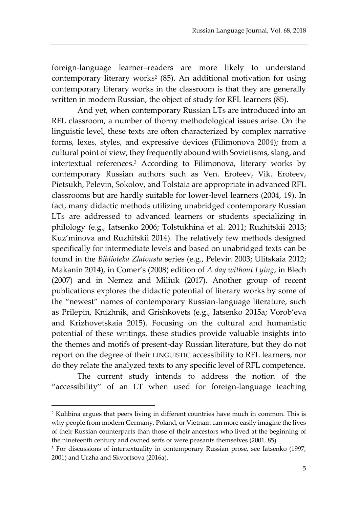foreign-language learner–readers are more likely to understand contemporary literary works<sup>2</sup> (85). An additional motivation for using contemporary literary works in the classroom is that they are generally written in modern Russian, the object of study for RFL learners (85).

And yet, when contemporary Russian LTs are introduced into an RFL classroom, a number of thorny methodological issues arise. On the linguistic level, these texts are often characterized by complex narrative forms, lexes, styles, and expressive devices (Filimonova 2004); from a cultural point of view, they frequently abound with Sovietisms, slang, and intertextual references.<sup>3</sup> According to Filimonova, literary works by contemporary Russian authors such as Ven. Erofeev, Vik. Erofeev, Pietsukh, Pelevin, Sokolov, and Tolstaia are appropriate in advanced RFL classrooms but are hardly suitable for lower-level learners (2004, 19). In fact, many didactic methods utilizing unabridged contemporary Russian LTs are addressed to advanced learners or students specializing in philology (e.g., Iatsenko 2006; Tolstukhina et al. 2011; Ruzhitskii 2013; Kuz'minova and Ruzhitskii 2014). The relatively few methods designed specifically for intermediate levels and based on unabridged texts can be found in the *Biblioteka Zlatousta* series (e.g., Pelevin 2003; Ulitskaia 2012; Makanin 2014), in Comer's (2008) edition of *A day without Lying*, in Blech (2007) and in Nemez and Miliuk (2017). Another group of recent publications explores the didactic potential of literary works by some of the "newest" names of contemporary Russian-language literature, such as Prilepin, Knizhnik, and Grishkovets (e.g., Iatsenko 2015a; Vorob'eva and Krizhovetskaia 2015). Focusing on the cultural and humanistic potential of these writings, these studies provide valuable insights into the themes and motifs of present-day Russian literature, but they do not report on the degree of their LINGUISTIC accessibility to RFL learners, nor do they relate the analyzed texts to any specific level of RFL competence.

The current study intends to address the notion of the "accessibility" of an LT when used for foreign-language teaching

<sup>2</sup> Kulibina argues that peers living in different countries have much in common. This is why people from modern Germany, Poland, or Vietnam can more easily imagine the lives of their Russian counterparts than those of their ancestors who lived at the beginning of the nineteenth century and owned serfs or were peasants themselves (2001, 85).

<sup>3</sup> For discussions of intertextuality in contemporary Russian prose, see Iatsenko (1997, 2001) and Urzha and Skvortsova (2016a).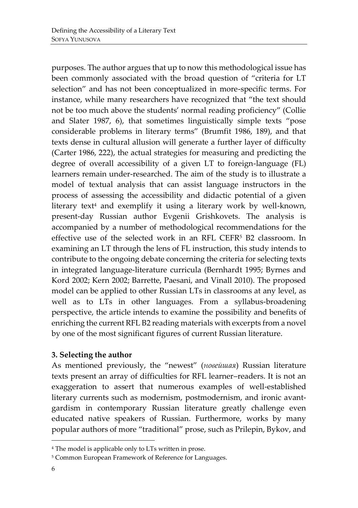purposes. The author argues that up to now this methodological issue has been commonly associated with the broad question of "criteria for LT selection" and has not been conceptualized in more-specific terms. For instance, while many researchers have recognized that "the text should not be too much above the students' normal reading proficiency" (Collie and Slater 1987, 6), that sometimes linguistically simple texts "pose considerable problems in literary terms" (Brumfit 1986, 189), and that texts dense in cultural allusion will generate a further layer of difficulty (Carter 1986, 222), the actual strategies for measuring and predicting the degree of overall accessibility of a given LT to foreign-language (FL) learners remain under-researched. The aim of the study is to illustrate a model of textual analysis that can assist language instructors in the process of assessing the accessibility and didactic potential of a given literary text<sup>4</sup> and exemplify it using a literary work by well-known, present-day Russian author Evgenii Grishkovets. The analysis is accompanied by a number of methodological recommendations for the effective use of the selected work in an RFL CEFR<sup>5</sup> B2 classroom. In examining an LT through the lens of FL instruction, this study intends to contribute to the ongoing debate concerning the criteria for selecting texts in integrated language-literature curricula (Bernhardt 1995; Byrnes and Kord 2002; Kern 2002; Barrette, Paesani, and Vinall 2010). The proposed model can be applied to other Russian LTs in classrooms at any level, as well as to LTs in other languages. From a syllabus-broadening perspective, the article intends to examine the possibility and benefits of enriching the current RFL B2 reading materials with excerpts from a novel by one of the most significant figures of current Russian literature.

## **3. Selecting the author**

As mentioned previously, the "newest" (*новейшая*) Russian literature texts present an array of difficulties for RFL learner–readers. It is not an exaggeration to assert that numerous examples of well-established literary currents such as modernism, postmodernism, and ironic avantgardism in contemporary Russian literature greatly challenge even educated native speakers of Russian. Furthermore, works by many popular authors of more "traditional" prose, such as Prilepin, Bykov, and

<sup>4</sup> The model is applicable only to LTs written in prose.

<sup>5</sup> Common European Framework of Reference for Languages.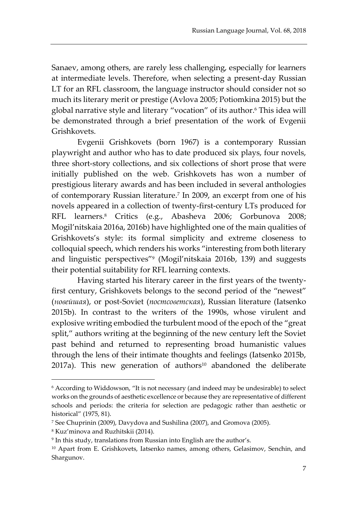Sanaev, among others, are rarely less challenging, especially for learners at intermediate levels. Therefore, when selecting a present-day Russian LT for an RFL classroom, the language instructor should consider not so much its literary merit or prestige (Avlova 2005; Potiomkina 2015) but the global narrative style and literary "vocation" of its author.<sup>6</sup> This idea will be demonstrated through a brief presentation of the work of Evgenii Grishkovets.

Evgenii Grishkovets (born 1967) is a contemporary Russian playwright and author who has to date produced six plays, four novels, three short-story collections, and six collections of short prose that were initially published on the web. Grishkovets has won a number of prestigious literary awards and has been included in several anthologies of contemporary Russian literature.<sup>7</sup> In 2009, an excerpt from one of his novels appeared in a collection of twenty-first-century LTs produced for RFL learners.<sup>8</sup> Critics (e.g., Abasheva 2006; Gorbunova 2008; Mogil'nitskaia 2016a, 2016b) have highlighted one of the main qualities of Grishkovets's style: its formal simplicity and extreme closeness to colloquial speech, which renders his works "interesting from both literary and linguistic perspectives"<sup>9</sup> (Mogil'nitskaia 2016b, 139) and suggests their potential suitability for RFL learning contexts.

Having started his literary career in the first years of the twentyfirst century, Grishkovets belongs to the second period of the "newest" (*новейшая*), or post-Soviet (*постсоветская*), Russian literature (Iatsenko 2015b). In contrast to the writers of the 1990s, whose virulent and explosive writing embodied the turbulent mood of the epoch of the "great split," authors writing at the beginning of the new century left the Soviet past behind and returned to representing broad humanistic values through the lens of their intimate thoughts and feelings (Iatsenko 2015b, 2017a). This new generation of authors<sup>10</sup> abandoned the deliberate

<sup>6</sup> According to Widdowson, "It is not necessary (and indeed may be undesirable) to select works on the grounds of aesthetic excellence or because they are representative of different schools and periods: the criteria for selection are pedagogic rather than aesthetic or historical" (1975, 81).

<sup>7</sup> See Chuprinin (2009), Davydova and Sushilina (2007), and Gromova (2005).

<sup>8</sup> Kuz'minova and Ruzhitskii (2014).

<sup>9</sup> In this study, translations from Russian into English are the author's.

<sup>10</sup> Apart from E. Grishkovets, Iatsenko names, among others, Gelasimov, Senchin, and Shargunov.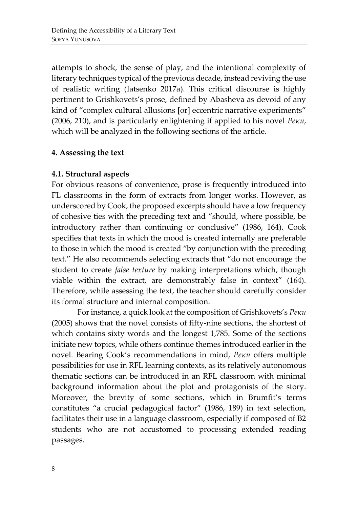attempts to shock, the sense of play, and the intentional complexity of literary techniques typical of the previous decade, instead reviving the use of realistic writing (Iatsenko 2017a). This critical discourse is highly pertinent to Grishkovets's prose, defined by Abasheva as devoid of any kind of "complex cultural allusions [or] eccentric narrative experiments" (2006, 210), and is particularly enlightening if applied to his novel *Реки*, which will be analyzed in the following sections of the article.

## **4. Assessing the text**

#### **4.1. Structural aspects**

For obvious reasons of convenience, prose is frequently introduced into FL classrooms in the form of extracts from longer works. However, as underscored by Cook, the proposed excerpts should have a low frequency of cohesive ties with the preceding text and "should, where possible, be introductory rather than continuing or conclusive" (1986, 164). Cook specifies that texts in which the mood is created internally are preferable to those in which the mood is created "by conjunction with the preceding text." He also recommends selecting extracts that "do not encourage the student to create *false texture* by making interpretations which, though viable within the extract, are demonstrably false in context" (164). Therefore, while assessing the text, the teacher should carefully consider its formal structure and internal composition.

For instance, a quick look at the composition of Grishkovets's *Реки* (2005) shows that the novel consists of fifty-nine sections, the shortest of which contains sixty words and the longest 1,785. Some of the sections initiate new topics, while others continue themes introduced earlier in the novel. Bearing Cook's recommendations in mind, *Реки* offers multiple possibilities for use in RFL learning contexts, as its relatively autonomous thematic sections can be introduced in an RFL classroom with minimal background information about the plot and protagonists of the story. Moreover, the brevity of some sections, which in Brumfit's terms constitutes "a crucial pedagogical factor" (1986, 189) in text selection, facilitates their use in a language classroom, especially if composed of B2 students who are not accustomed to processing extended reading passages.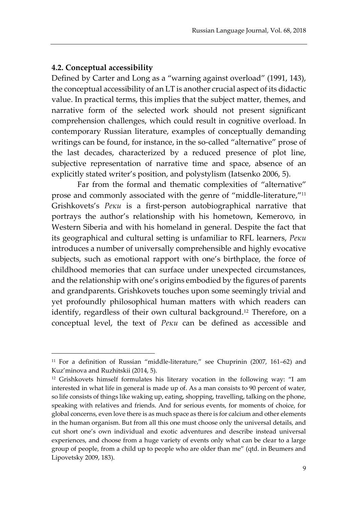#### **4.2. Conceptual accessibility**

Defined by Carter and Long as a "warning against overload" (1991, 143), the conceptual accessibility of an LT is another crucial aspect of its didactic value. In practical terms, this implies that the subject matter, themes, and narrative form of the selected work should not present significant comprehension challenges, which could result in cognitive overload. In contemporary Russian literature, examples of conceptually demanding writings can be found, for instance, in the so-called "alternative" prose of the last decades, characterized by a reduced presence of plot line, subjective representation of narrative time and space, absence of an explicitly stated writer's position, and polystylism (Iatsenko 2006, 5).

Far from the formal and thematic complexities of "alternative" prose and commonly associated with the genre of "middle-literature,"<sup>11</sup> Grishkovets's *Реки* is a first-person autobiographical narrative that portrays the author's relationship with his hometown, Kemerovo, in Western Siberia and with his homeland in general. Despite the fact that its geographical and cultural setting is unfamiliar to RFL learners, *Реки* introduces a number of universally comprehensible and highly evocative subjects, such as emotional rapport with one's birthplace, the force of childhood memories that can surface under unexpected circumstances, and the relationship with one's origins embodied by the figures of parents and grandparents. Grishkovets touches upon some seemingly trivial and yet profoundly philosophical human matters with which readers can identify, regardless of their own cultural background.<sup>12</sup> Therefore, on a conceptual level, the text of *Реки* can be defined as accessible and

<sup>11</sup> For a definition of Russian "middle-literature," see Chuprinin (2007, 161–62) and Kuz'minova and Ruzhitskii (2014, 5).

<sup>12</sup> Grishkovets himself formulates his literary vocation in the following way: "I am interested in what life in general is made up of. As a man consists to 90 percent of water, so life consists of things like waking up, eating, shopping, travelling, talking on the phone, speaking with relatives and friends. And for serious events, for moments of choice, for global concerns, even love there is as much space as there is for calcium and other elements in the human organism. But from all this one must choose only the universal details, and cut short one's own individual and exotic adventures and describe instead universal experiences, and choose from a huge variety of events only what can be clear to a large group of people, from a child up to people who are older than me" (qtd. in Beumers and Lipovetsky 2009, 183).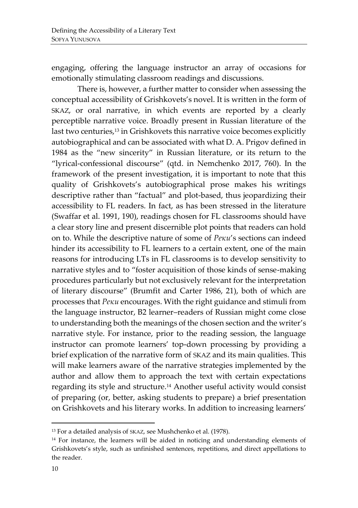engaging, offering the language instructor an array of occasions for emotionally stimulating classroom readings and discussions.

There is, however, a further matter to consider when assessing the conceptual accessibility of Grishkovets's novel. It is written in the form of SKAZ, or oral narrative, in which events are reported by a clearly perceptible narrative voice. Broadly present in Russian literature of the last two centuries,<sup>13</sup> in Grishkovets this narrative voice becomes explicitly autobiographical and can be associated with what D. A. Prigov defined in 1984 as the "new sincerity" in Russian literature, or its return to the "lyrical-confessional discourse" (qtd. in Nemchenko 2017, 760). In the framework of the present investigation, it is important to note that this quality of Grishkovets's autobiographical prose makes his writings descriptive rather than "factual" and plot-based, thus jeopardizing their accessibility to FL readers. In fact, as has been stressed in the literature (Swaffar et al. 1991, 190), readings chosen for FL classrooms should have a clear story line and present discernible plot points that readers can hold on to. While the descriptive nature of some of *Реки*'s sections can indeed hinder its accessibility to FL learners to a certain extent, one of the main reasons for introducing LTs in FL classrooms is to develop sensitivity to narrative styles and to "foster acquisition of those kinds of sense-making procedures particularly but not exclusively relevant for the interpretation of literary discourse" (Brumfit and Carter 1986, 21), both of which are processes that *Реки* encourages. With the right guidance and stimuli from the language instructor, B2 learner–readers of Russian might come close to understanding both the meanings of the chosen section and the writer's narrative style. For instance, prior to the reading session, the language instructor can promote learners' top-down processing by providing a brief explication of the narrative form of SKAZ and its main qualities. This will make learners aware of the narrative strategies implemented by the author and allow them to approach the text with certain expectations regarding its style and structure.<sup>14</sup> Another useful activity would consist of preparing (or, better, asking students to prepare) a brief presentation on Grishkovets and his literary works. In addition to increasing learners'

<sup>13</sup> For a detailed analysis of SKAZ, see Mushchenko et al. (1978).

<sup>&</sup>lt;sup>14</sup> For instance, the learners will be aided in noticing and understanding elements of Grishkovets's style, such as unfinished sentences, repetitions, and direct appellations to the reader.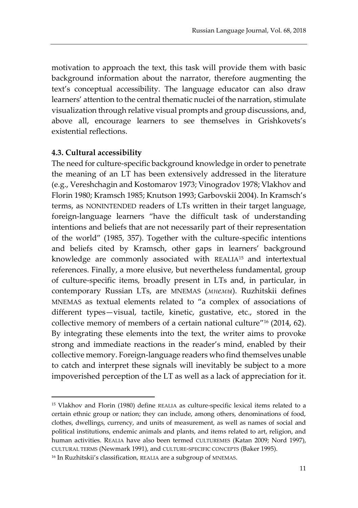motivation to approach the text, this task will provide them with basic background information about the narrator, therefore augmenting the text's conceptual accessibility. The language educator can also draw learners' attention to the central thematic nuclei of the narration, stimulate visualization through relative visual prompts and group discussions, and, above all, encourage learners to see themselves in Grishkovets's existential reflections.

## **4.3. Cultural accessibility**

The need for culture-specific background knowledge in order to penetrate the meaning of an LT has been extensively addressed in the literature (e.g., Vereshchagin and Kostomarov 1973; Vinogradov 1978; Vlakhov and Florin 1980; Kramsch 1985; Knutson 1993; Garbovskii 2004). In Kramsch's terms, as NONINTENDED readers of LTs written in their target language, foreign-language learners "have the difficult task of understanding intentions and beliefs that are not necessarily part of their representation of the world" (1985, 357). Together with the culture-specific intentions and beliefs cited by Kramsch, other gaps in learners' background knowledge are commonly associated with REALIA<sup>15</sup> and intertextual references. Finally, a more elusive, but nevertheless fundamental, group of culture-specific items, broadly present in LTs and, in particular, in contemporary Russian LTs, are MNEMAS (*мнемы*). Ruzhitskii defines MNEMAS as textual elements related to "a complex of associations of different types—visual, tactile, kinetic, gustative, etc., stored in the collective memory of members of a certain national culture"<sup>16</sup> (2014, 62). By integrating these elements into the text, the writer aims to provoke strong and immediate reactions in the reader's mind, enabled by their collective memory. Foreign-language readers who find themselves unable to catch and interpret these signals will inevitably be subject to a more impoverished perception of the LT as well as a lack of appreciation for it.

<sup>15</sup> Vlakhov and Florin (1980) define REALIA as culture-specific lexical items related to a certain ethnic group or nation; they can include, among others, denominations of food, clothes, dwellings, currency, and units of measurement, as well as names of social and political institutions, endemic animals and plants, and items related to art, religion, and human activities. REALIA have also been termed CULTUREMES (Katan 2009; Nord 1997), CULTURAL TERMS (Newmark 1991), and CULTURE-SPECIFIC CONCEPTS (Baker 1995).

<sup>16</sup> In Ruzhitskii's classification, REALIA are a subgroup of MNEMAS.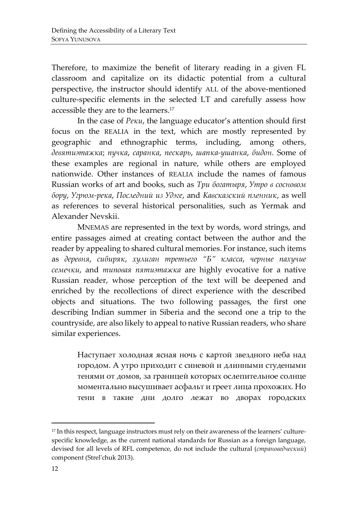Therefore, to maximize the benefit of literary reading in a given FL classroom and capitalize on its didactic potential from a cultural perspective, the instructor should identify ALL of the above-mentioned culture-specific elements in the selected LT and carefully assess how accessible they are to the learners.<sup>17</sup>

In the case of *Реки*, the language educator's attention should first focus on the REALIA in the text, which are mostly represented by geographic and ethnographic terms, including, among others, *девятиэтажка*; *пучка*, *саранка*, *пескарь*, *шапка-ушанка*, *бидон.* Some of these examples are regional in nature, while others are employed nationwide. Other instances of REALIA include the names of famous Russian works of art and books, such as *Три богатыря*, *Утро в сосновом бору*, *Угрюм-река*, *Последний из Удэге*, and *Кавсказский пленник*, as well as references to several historical personalities, such as Yermak and Alexander Nevskii.

MNEMAS are represented in the text by words, word strings, and entire passages aimed at creating contact between the author and the reader by appealing to shared cultural memories. For instance, such items as *деревня*, *сибиряк*, *хулиган третьего "Б" класса*, *черные пахучие семечки*, and *типовая пятиэтажка* are highly evocative for a native Russian reader, whose perception of the text will be deepened and enriched by the recollections of direct experience with the described objects and situations. The two following passages, the first one describing Indian summer in Siberia and the second one a trip to the countryside, are also likely to appeal to native Russian readers, who share similar experiences.

> Наступает холодная ясная ночь с картой звездного неба над городом. А утро приходит с синевой и длинными студеными тенями от домов, за границей которых ослепительное солнце моментально высушивает асфальт и греет лица прохожих. Но тени в такие дни долго лежат во дворах городских

<sup>&</sup>lt;sup>17</sup> In this respect, language instructors must rely on their awareness of the learners' culturespecific knowledge, as the current national standards for Russian as a foreign language, devised for all levels of RFL competence, do not include the cultural (*страноведческий*) component (Strel'chuk 2013).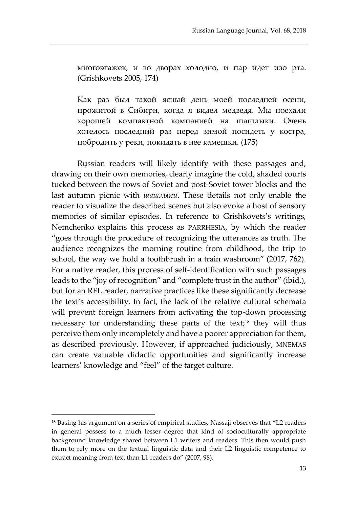многоэтажек, и во дворах холодно, и пар идет изо рта. (Grishkovets 2005, 174)

Как раз был такой ясный день моей последней осени, прожитой в Сибири, когда я видел медведя. Мы поехали хорошей компактной компанией на шашлыки. Очень хотелось последний раз перед зимой посидеть у костра, побродить у реки, покидать в нее камешки. (175)

Russian readers will likely identify with these passages and, drawing on their own memories, clearly imagine the cold, shaded courts tucked between the rows of Soviet and post-Soviet tower blocks and the last autumn picnic with *шашлыки*. These details not only enable the reader to visualize the described scenes but also evoke a host of sensory memories of similar episodes. In reference to Grishkovets's writings, Nemchenko explains this process as PARRHESIA, by which the reader "goes through the procedure of recognizing the utterances as truth. The audience recognizes the morning routine from childhood, the trip to school, the way we hold a toothbrush in a train washroom" (2017, 762). For a native reader, this process of self-identification with such passages leads to the "joy of recognition" and "complete trust in the author" (ibid.), but for an RFL reader, narrative practices like these significantly decrease the text's accessibility. In fact, the lack of the relative cultural schemata will prevent foreign learners from activating the top-down processing necessary for understanding these parts of the text;<sup>18</sup> they will thus perceive them only incompletely and have a poorer appreciation for them, as described previously. However, if approached judiciously, MNEMAS can create valuable didactic opportunities and significantly increase learners' knowledge and "feel" of the target culture.

<sup>&</sup>lt;sup>18</sup> Basing his argument on a series of empirical studies, Nassaji observes that "L2 readers in general possess to a much lesser degree that kind of socioculturally appropriate background knowledge shared between L1 writers and readers. This then would push them to rely more on the textual linguistic data and their L2 linguistic competence to extract meaning from text than L1 readers do" (2007, 98).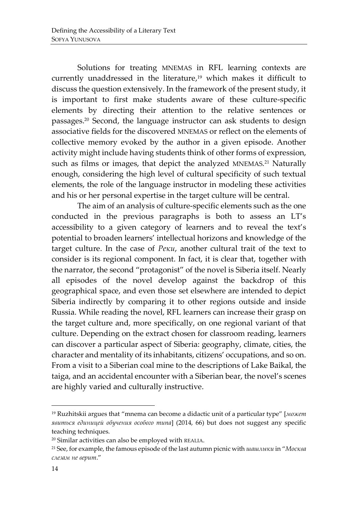Solutions for treating MNEMAS in RFL learning contexts are currently unaddressed in the literature,<sup>19</sup> which makes it difficult to discuss the question extensively. In the framework of the present study, it is important to first make students aware of these culture-specific elements by directing their attention to the relative sentences or passages.20 Second, the language instructor can ask students to design associative fields for the discovered MNEMAS or reflect on the elements of collective memory evoked by the author in a given episode. Another activity might include having students think of other forms of expression, such as films or images, that depict the analyzed MNEMAS*.* <sup>21</sup> Naturally enough, considering the high level of cultural specificity of such textual elements, the role of the language instructor in modeling these activities and his or her personal expertise in the target culture will be central.

The aim of an analysis of culture-specific elements such as the one conducted in the previous paragraphs is both to assess an LT's accessibility to a given category of learners and to reveal the text's potential to broaden learners' intellectual horizons and knowledge of the target culture. In the case of *Реки*, another cultural trait of the text to consider is its regional component. In fact, it is clear that, together with the narrator, the second "protagonist" of the novel is Siberia itself. Nearly all episodes of the novel develop against the backdrop of this geographical space, and even those set elsewhere are intended to depict Siberia indirectly by comparing it to other regions outside and inside Russia. While reading the novel, RFL learners can increase their grasp on the target culture and, more specifically, on one regional variant of that culture. Depending on the extract chosen for classroom reading, learners can discover a particular aspect of Siberia: geography, climate, cities, the character and mentality of its inhabitants, citizens' occupations, and so on. From a visit to a Siberian coal mine to the descriptions of Lake Baikal, the taiga, and an accidental encounter with a Siberian bear, the novel's scenes are highly varied and culturally instructive.

<sup>19</sup> Ruzhitskii argues that "mnema can become a didactic unit of a particular type" [*может явиться единицей обучения особого типа*] (2014, 66) but does not suggest any specific teaching techniques.

<sup>20</sup> Similar activities can also be employed with REALIA.

<sup>21</sup> See, for example, the famous episode of the last autumn picnic with *шашлыки* in "*Москва слезам не верит*."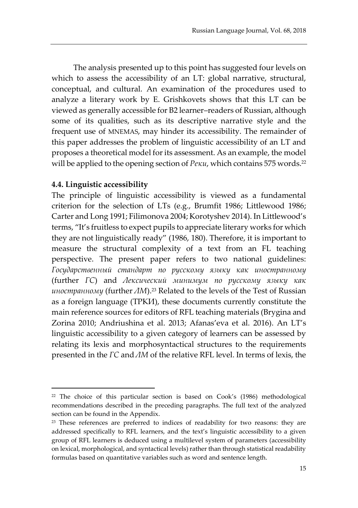The analysis presented up to this point has suggested four levels on which to assess the accessibility of an LT: global narrative, structural, conceptual, and cultural. An examination of the procedures used to analyze a literary work by E. Grishkovets shows that this LT can be viewed as generally accessible for B2 learner–readers of Russian, although some of its qualities, such as its descriptive narrative style and the frequent use of MNEMAS, may hinder its accessibility. The remainder of this paper addresses the problem of linguistic accessibility of an LT and proposes a theoretical model for its assessment. As an example, the model will be applied to the opening section of *Ρeκu*, which contains 575 words.<sup>22</sup>

#### **4.4. Linguistic accessibility**

The principle of linguistic accessibility is viewed as a fundamental criterion for the selection of LTs (e.g., Brumfit 1986; Littlewood 1986; Carter and Long 1991; Filimonova 2004; Korotyshev 2014). In Littlewood's terms, "It's fruitless to expect pupils to appreciate literary works for which they are not linguistically ready" (1986, 180). Therefore, it is important to measure the structural complexity of a text from an FL teaching perspective. The present paper refers to two national guidelines: *Государственный стандарт по русскому языку как иностранному* (further *ГС*) and *Лексический минимум по русскому языку как иностранному* (further *ЛМ*).<sup>23</sup> Related to the levels of the Test of Russian as a foreign language (ТРКИ), these documents currently constitute the main reference sources for editors of RFL teaching materials (Brygina and Zorina 2010; Andriushina et al. 2013; Afanas'eva et al. 2016). An LT's linguistic accessibility to a given category of learners can be assessed by relating its lexis and morphosyntactical structures to the requirements presented in the *ГС* and *ЛМ* of the relative RFL level. In terms of lexis, the

<sup>22</sup> The choice of this particular section is based on Cook's (1986) methodological recommendations described in the preceding paragraphs. The full text of the analyzed section can be found in the Appendix.

<sup>&</sup>lt;sup>23</sup> These references are preferred to indices of readability for two reasons: they are addressed specifically to RFL learners, and the text's linguistic accessibility to a given group of RFL learners is deduced using a multilevel system of parameters (accessibility on lexical, morphological, and syntactical levels) rather than through statistical readability formulas based on quantitative variables such as word and sentence length.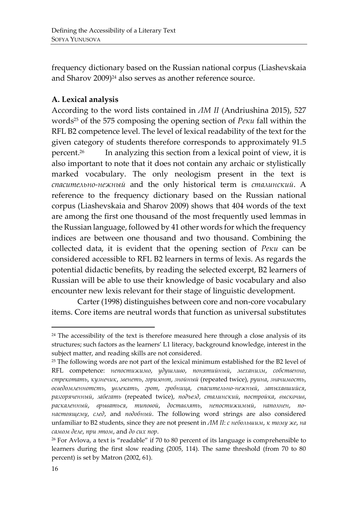frequency dictionary based on the Russian national corpus (Liashevskaia and Sharov 2009)24 also serves as another reference source.

## **A. Lexical analysis**

According to the word lists contained in *ЛМ II* (Andriushina 2015), 527 words<sup>25</sup> of the 575 composing the opening section of *Реки* fall within the RFL B2 competence level. The level of lexical readability of the text for the given category of students therefore corresponds to approximately 91.5 percent.<sup>26</sup> In analyzing this section from a lexical point of view, it is also important to note that it does not contain any archaic or stylistically marked vocabulary. The only neologism present in the text is *спасительно-нежный* and the only historical term is *сталинский*. A reference to the frequency dictionary based on the Russian national corpus (Liashevskaia and Sharov 2009) shows that 404 words of the text are among the first one thousand of the most frequently used lemmas in the Russian language, followed by 41 other words for which the frequency indices are between one thousand and two thousand. Combining the collected data, it is evident that the opening section of *Реки* can be considered accessible to RFL B2 learners in terms of lexis. As regards the potential didactic benefits, by reading the selected excerpt, B2 learners of Russian will be able to use their knowledge of basic vocabulary and also encounter new lexis relevant for their stage of linguistic development.

Carter (1998) distinguishes between core and non-core vocabulary items. Core items are neutral words that function as universal substitutes

 $24$  The accessibility of the text is therefore measured here through a close analysis of its structures; such factors as the learners' L1 literacy, background knowledge, interest in the subject matter, and reading skills are not considered.

<sup>25</sup> The following words are not part of the lexical minimum established for the B2 level of RFL competence: *непостижимо*, *удушливо*, *понятийный*, *механизм*, *собственно*, *стрекотать*, *кузнечик*, *звенеть*, *горизонт*, *знойный* (repeated twice), *руина*, *значимость*, *осведомленнотсть*, *увлекать*, *грот*, *гробница*, *спасительно-нежный*, *запыхавшийся*, *разгоряченный*, *забегать* (repeated twice), *подъезд*, *сталинский*, *постройка*, *выскочив*, *раскаленный*, *врываться*, *типовой*, *доставлять*, *непостижимый*, *наполнен*, *понастоящему*, *след*, and *подобный*. The following word strings are also considered unfamiliar to B2 students, since they are not present in *ЛМ II*: *с небольшим*, *к тому же*, *на самом деле*, *при этом*, and *до сих пор*.

<sup>26</sup> For Avlova, a text is "readable" if 70 to 80 percent of its language is comprehensible to learners during the first slow reading (2005, 114). The same threshold (from 70 to 80 percent) is set by Matron (2002, 61).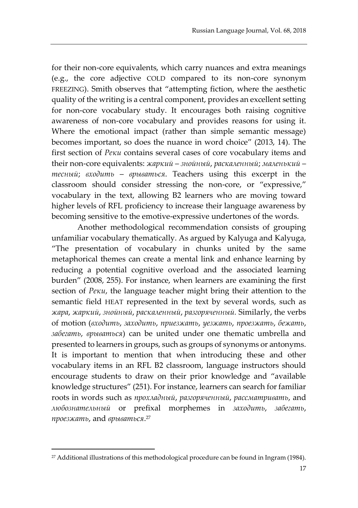for their non-core equivalents, which carry nuances and extra meanings (e.g., the core adjective COLD compared to its non-core synonym FREEZING). Smith observes that "attempting fiction, where the aesthetic quality of the writing is a central component, provides an excellent setting for non-core vocabulary study. It encourages both raising cognitive awareness of non-core vocabulary and provides reasons for using it. Where the emotional impact (rather than simple semantic message) becomes important, so does the nuance in word choice" (2013, 14). The first section of *Реки* contains several cases of core vocabulary items and their non-core equivalents: *жаркий* – *знойный*, *раскаленный*; *маленький* – *тесный*; *входить* – *врываться*. Teachers using this excerpt in the classroom should consider stressing the non-core, or "expressive," vocabulary in the text, allowing B2 learners who are moving toward higher levels of RFL proficiency to increase their language awareness by becoming sensitive to the emotive-expressive undertones of the words.

Another methodological recommendation consists of grouping unfamiliar vocabulary thematically. As argued by Kalyuga and Kalyuga, "The presentation of vocabulary in chunks united by the same metaphorical themes can create a mental link and enhance learning by reducing a potential cognitive overload and the associated learning burden" (2008, 255). For instance, when learners are examining the first section of *Реки*, the language teacher might bring their attention to the semantic field HEAT represented in the text by several words, such as *жара*, *жаркий*, *знойный*, *раскаленный*, *разгоряченный.* Similarly, the verbs of motion (*входить*, *заходить*, *приезжать*, *уезжать*, *проезжать*, *бежать*, *забегать*, *врываться*) can be united under one thematic umbrella and presented to learners in groups, such as groups of synonyms or antonyms. It is important to mention that when introducing these and other vocabulary items in an RFL B2 classroom, language instructors should encourage students to draw on their prior knowledge and "available knowledge structures" (251). For instance, learners can search for familiar roots in words such as *прохладный*, *разгоряченный*, *рассматривать*, and *любознательный* or prefixal morphemes in *заходить*, *забегать*, *проезжать*, and *врываться*. 27

<sup>27</sup> Additional illustrations of this methodological procedure can be found in Ingram (1984).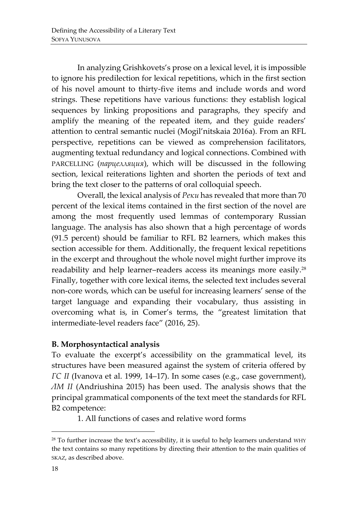In analyzing Grishkovets's prose on a lexical level, it is impossible to ignore his predilection for lexical repetitions, which in the first section of his novel amount to thirty-five items and include words and word strings. These repetitions have various functions: they establish logical sequences by linking propositions and paragraphs, they specify and amplify the meaning of the repeated item, and they guide readers' attention to central semantic nuclei (Mogil'nitskaia 2016a). From an RFL perspective, repetitions can be viewed as comprehension facilitators, augmenting textual redundancy and logical connections. Combined with PARCELLING (*парцелляция*), which will be discussed in the following section, lexical reiterations lighten and shorten the periods of text and bring the text closer to the patterns of oral colloquial speech.

Overall, the lexical analysis of *Реки* has revealed that more than 70 percent of the lexical items contained in the first section of the novel are among the most frequently used lemmas of contemporary Russian language. The analysis has also shown that a high percentage of words (91.5 percent) should be familiar to RFL B2 learners, which makes this section accessible for them. Additionally, the frequent lexical repetitions in the excerpt and throughout the whole novel might further improve its readability and help learner–readers access its meanings more easily.<sup>28</sup> Finally, together with core lexical items, the selected text includes several non-core words, which can be useful for increasing learners' sense of the target language and expanding their vocabulary, thus assisting in overcoming what is, in Comer's terms, the "greatest limitation that intermediate-level readers face" (2016, 25).

## **B. Morphosyntactical analysis**

To evaluate the excerpt's accessibility on the grammatical level, its structures have been measured against the system of criteria offered by *ГС II* (Ivanova et al. 1999, 14–17). In some cases (e.g., case government), *ЛМ II* (Andriushina 2015) has been used. The analysis shows that the principal grammatical components of the text meet the standards for RFL B2 competence:

1. All functions of cases and relative word forms

 $28$  To further increase the text's accessibility, it is useful to help learners understand WHY the text contains so many repetitions by directing their attention to the main qualities of SKAZ, as described above.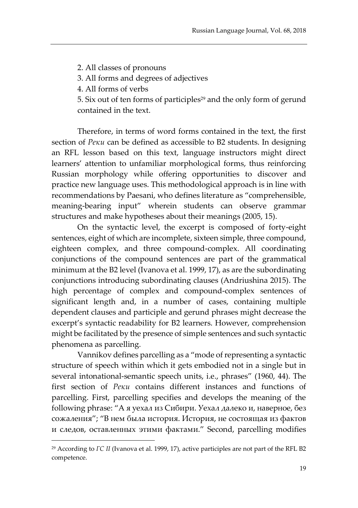- 2. All classes of pronouns
- 3. All forms and degrees of adjectives
- 4. All forms of verbs

5. Six out of ten forms of participles<sup>29</sup> and the only form of gerund contained in the text.

Therefore, in terms of word forms contained in the text, the first section of *Реки* can be defined as accessible to B2 students. In designing an RFL lesson based on this text, language instructors might direct learners' attention to unfamiliar morphological forms, thus reinforcing Russian morphology while offering opportunities to discover and practice new language uses. This methodological approach is in line with recommendations by Paesani, who defines literature as "comprehensible, meaning-bearing input" wherein students can observe grammar structures and make hypotheses about their meanings (2005, 15).

 On the syntactic level, the excerpt is composed of forty-eight sentences, eight of which are incomplete, sixteen simple, three compound, eighteen complex, and three compound-complex. All coordinating conjunctions of the compound sentences are part of the grammatical minimum at the B2 level (Ivanova et al. 1999, 17), as are the subordinating conjunctions introducing subordinating clauses (Andriushina 2015). The high percentage of complex and compound-complex sentences of significant length and, in a number of cases, containing multiple dependent clauses and participle and gerund phrases might decrease the excerpt's syntactic readability for B2 learners. However, comprehension might be facilitated by the presence of simple sentences and such syntactic phenomena as parcelling.

 Vannikov defines parcelling as a "mode of representing a syntactic structure of speech within which it gets embodied not in a single but in several intonational-semantic speech units, i.e., phrases" (1960, 44). The first section of *Реки* contains different instances and functions of parcelling. First, parcelling specifies and develops the meaning of the following phrase: "А я уехал из Сибири. Уехал далеко и, наверное, без сожаления"; "В нем была история. История, не состоящая из фактов и следов, оставленных этими фактами." Second, parcelling modifies

 $\overline{a}$ 

<sup>&</sup>lt;sup>29</sup> According to *ΓC II* (Ivanova et al. 1999, 17), active participles are not part of the RFL B2 competence.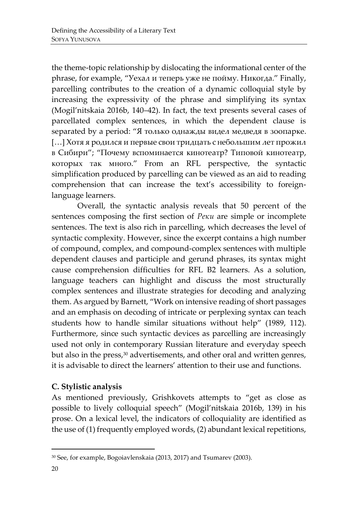the theme-topic relationship by dislocating the informational center of the phrase, for example, "Уехал и теперь уже не пойму. Никогда." Finally, parcelling contributes to the creation of a dynamic colloquial style by increasing the expressivity of the phrase and simplifying its syntax (Mogil'nitskaia 2016b, 140–42). In fact, the text presents several cases of parcellated complex sentences, in which the dependent clause is separated by a period: "Я только однажды видел медведя в зоопарке. […] Хотя я родился и первые свои тридцать с небольшим лет прожил в Сибири"; "Почему вспоминается кинотеатр? Типовой кинотеатр, которых так много." From an RFL perspective, the syntactic simplification produced by parcelling can be viewed as an aid to reading comprehension that can increase the text's accessibility to foreignlanguage learners.

 Overall, the syntactic analysis reveals that 50 percent of the sentences composing the first section of *Реки* are simple or incomplete sentences. The text is also rich in parcelling, which decreases the level of syntactic complexity. However, since the excerpt contains a high number of compound, complex, and compound-complex sentences with multiple dependent clauses and participle and gerund phrases, its syntax might cause comprehension difficulties for RFL B2 learners. As a solution, language teachers can highlight and discuss the most structurally complex sentences and illustrate strategies for decoding and analyzing them. As argued by Barnett, "Work on intensive reading of short passages and an emphasis on decoding of intricate or perplexing syntax can teach students how to handle similar situations without help" (1989, 112). Furthermore, since such syntactic devices as parcelling are increasingly used not only in contemporary Russian literature and everyday speech but also in the press,<sup>30</sup> advertisements, and other oral and written genres, it is advisable to direct the learners' attention to their use and functions.

## **C. Stylistic analysis**

As mentioned previously, Grishkovets attempts to "get as close as possible to lively colloquial speech" (Mogil'nitskaia 2016b, 139) in his prose. On a lexical level, the indicators of colloquiality are identified as the use of (1) frequently employed words, (2) abundant lexical repetitions,

 $\overline{\phantom{a}}$ 

<sup>30</sup> See, for example, Bogoiavlenskaia (2013, 2017) and Tsumarev (2003).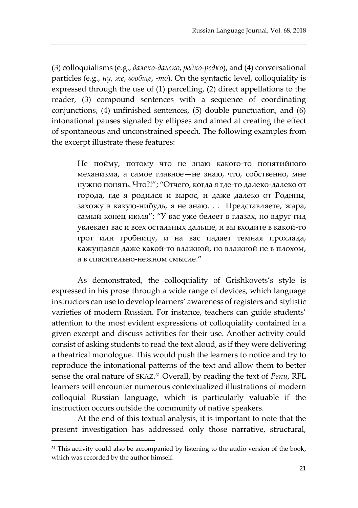(3) colloquialisms (e.g., *далеко-далеко*, *редко-редко*), and (4) conversational particles (e.g., *ну*, *же*, *вообще*, -*то*). On the syntactic level, colloquiality is expressed through the use of (1) parcelling, (2) direct appellations to the reader, (3) compound sentences with a sequence of coordinating conjunctions, (4) unfinished sentences, (5) double punctuation, and (6) intonational pauses signaled by ellipses and aimed at creating the effect of spontaneous and unconstrained speech. The following examples from the excerpt illustrate these features:

Не пойму, потому что не знаю какого-то понятийного механизма, а самое главное—не знаю, что, собственно, мне нужно понять. Что?!"; "Отчего, когда я где-то далеко-далеко от города, где я родился и вырос, и даже далеко от Родины, захожу в какую-нибудь, я не знаю. . . Представляете, жара, самый конец июля"; "У вас уже белеет в глазах, но вдруг гид увлекает вас и всех остальных дальше, и вы входите в какой-то грот или гробницу, и на вас падает темная прохлада, кажущаяся даже какой-то влажной, но влажной не в плохом, а в спасительно-нежном смысле."

As demonstrated, the colloquiality of Grishkovets's style is expressed in his prose through a wide range of devices, which language instructors can use to develop learners' awareness of registers and stylistic varieties of modern Russian. For instance, teachers can guide students' attention to the most evident expressions of colloquiality contained in a given excerpt and discuss activities for their use. Another activity could consist of asking students to read the text aloud, as if they were delivering a theatrical monologue. This would push the learners to notice and try to reproduce the intonational patterns of the text and allow them to better sense the oral nature of SKAZ. <sup>31</sup> Overall, by reading the text of *Реки*, RFL learners will encounter numerous contextualized illustrations of modern colloquial Russian language, which is particularly valuable if the instruction occurs outside the community of native speakers.

 At the end of this textual analysis, it is important to note that the present investigation has addressed only those narrative, structural,

 $\overline{a}$ 

<sup>&</sup>lt;sup>31</sup> This activity could also be accompanied by listening to the audio version of the book, which was recorded by the author himself.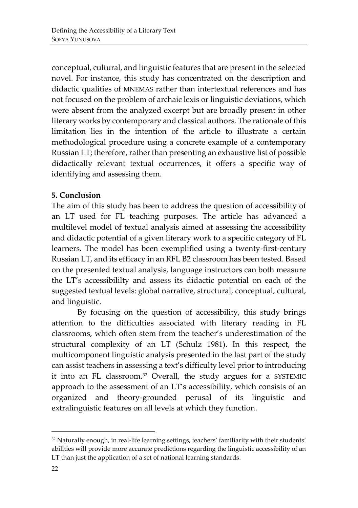conceptual, cultural, and linguistic features that are present in the selected novel. For instance, this study has concentrated on the description and didactic qualities of MNEMAS rather than intertextual references and has not focused on the problem of archaic lexis or linguistic deviations, which were absent from the analyzed excerpt but are broadly present in other literary works by contemporary and classical authors. The rationale of this limitation lies in the intention of the article to illustrate a certain methodological procedure using a concrete example of a contemporary Russian LT; therefore, rather than presenting an exhaustive list of possible didactically relevant textual occurrences, it offers a specific way of identifying and assessing them.

## **5. Conclusion**

The aim of this study has been to address the question of accessibility of an LT used for FL teaching purposes. The article has advanced a multilevel model of textual analysis aimed at assessing the accessibility and didactic potential of a given literary work to a specific category of FL learners. The model has been exemplified using a twenty-first-century Russian LT, and its efficacy in an RFL B2 classroom has been tested. Based on the presented textual analysis, language instructors can both measure the LT's accessibililty and assess its didactic potential on each of the suggested textual levels: global narrative, structural, conceptual, cultural, and linguistic.

 By focusing on the question of accessibility, this study brings attention to the difficulties associated with literary reading in FL classrooms, which often stem from the teacher's underestimation of the structural complexity of an LT (Schulz 1981). In this respect, the multicomponent linguistic analysis presented in the last part of the study can assist teachers in assessing a text's difficulty level prior to introducing it into an FL classroom.<sup>32</sup> Overall, the study argues for a SYSTEMIC approach to the assessment of an LT's accessibility, which consists of an organized and theory-grounded perusal of its linguistic and extralinguistic features on all levels at which they function.

 $\overline{a}$ 

<sup>&</sup>lt;sup>32</sup> Naturally enough, in real-life learning settings, teachers' familiarity with their students' abilities will provide more accurate predictions regarding the linguistic accessibility of an LT than just the application of a set of national learning standards.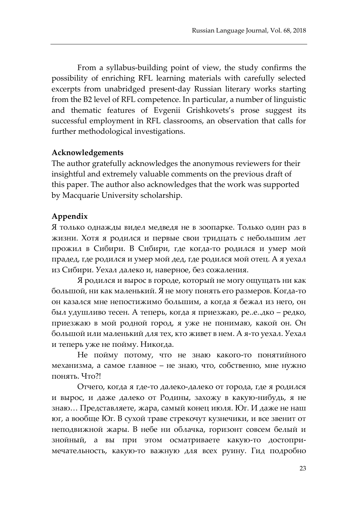From a syllabus-building point of view, the study confirms the possibility of enriching RFL learning materials with carefully selected excerpts from unabridged present-day Russian literary works starting from the B2 level of RFL competence. In particular, a number of linguistic and thematic features of Evgenii Grishkovets's prose suggest its successful employment in RFL classrooms, an observation that calls for further methodological investigations.

#### **Acknowledgements**

The author gratefully acknowledges the anonymous reviewers for their insightful and extremely valuable comments on the previous draft of this paper. The author also acknowledges that the work was supported by Macquarie University scholarship.

## **Appendix**

Я только однажды видел медведя не в зоопарке. Только один раз в жизни. Хотя я родился и первые свои тридцать с небольшим лет прожил в Сибири. В Сибири, где когда-то родился и умер мой прадед, где родился и умер мой дед, где родился мой отец. А я уехал из Сибири. Уехал далеко и, наверное, без сожаления.

Я родился и вырос в городе, который не могу ощущать ни как большой, ни как маленький. Я не могу понять его размеров. Когда-то он казался мне непостижимо большим, а когда я бежал из него, он был удушливо тесен. А теперь, когда я приезжаю, ре..е..дко – редко, приезжаю в мой родной город, я уже не понимаю, какой он. Он большой или маленький для тех, кто живет в нем. А я-то уехал. Уехал и теперь уже не пойму. Никогда.

Не пойму потому, что не знаю какого-то понятийного механизма, а самое главное – не знаю, что, собственно, мне нужно понять. Что?!

Отчего, когда я где-то далеко-далеко от города, где я родился и вырос, и даже далеко от Родины, захожу в какую-нибудь, я не знаю… Представляете, жара, самый конец июля. Юг. И даже не наш юг, а вообще Юг. В сухой траве стрекочут кузнечики, и все звенит от неподвижной жары. В небе ни облачка, горизонт совсем белый и знойный, а вы при этом осматриваете какую-то достопримечательность, какую-то важную для всех руину. Гид подробно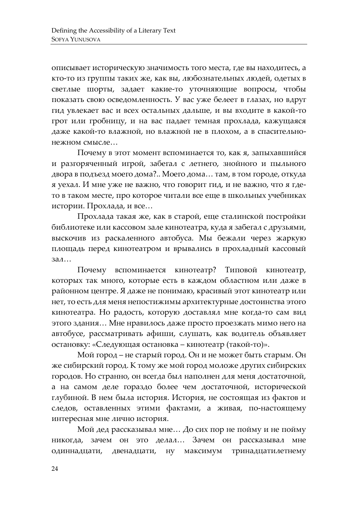описывает историческую значимость того места, где вы находитесь, а кто-то из группы таких же, как вы, любознательных людей, одетых в светлые шорты, задает какие-то уточняющие вопросы, чтобы показать свою осведомленность. У вас уже белеет в глазах, но вдруг гид увлекает вас и всех остальных дальше, и вы входите в какой-то грот или гробницу, и на вас падает темная прохлада, кажущаяся даже какой-то влажной, но влажной не в плохом, а в спасительнонежном смысле…

Почему в этот момент вспоминается то, как я, запыхавшийся и разгоряченный игрой, забегал с летнего, знойного и пыльного двора в подъезд моего дома?.. Моего дома… там, в том городе, откуда я уехал. И мне уже не важно, что говорит гид, и не важно, что я гдето в таком месте, про которое читали все еще в школьных учебниках истории. Прохлада, и все…

Прохлада такая же, как в старой, еще сталинской постройки библиотеке или кассовом зале кинотеатра, куда я забегал с друзьями, выскочив из раскаленного автобуса. Мы бежали через жаркую площадь перед кинотеатром и врывались в прохладный кассовый зал…

Почему вспоминается кинотеатр? Типовой кинотеатр, которых так много, которые есть в каждом областном или даже в районном центре. Я даже не понимаю, красивый этот кинотеатр или нет, то есть для меня непостижимы архитектурные достоинства этого кинотеатра. Но радость, которую доставлял мне когда-то сам вид этого здания… Мне нравилось даже просто проезжать мимо него на автобусе, рассматривать афиши, слушать, как водитель объявляет остановку: «Следующая остановка – кинотеатр (такой-то)».

Мой город – не старый город. Он и не может быть старым. Он же сибирский город. К тому же мой город моложе других сибирских городов. Но странно, он всегда был наполнен для меня достаточной, а на самом деле гораздо более чем достаточной, исторической глубиной. В нем была история. История, не состоящая из фактов и следов, оставленных этими фактами, а живая, по-настоящему интересная мне лично история.

Мой дед рассказывал мне… До сих пор не пойму и не пойму никогда, зачем он это делал… Зачем он рассказывал мне одиннадцати, двенадцати, ну максимум тринадцатилетнему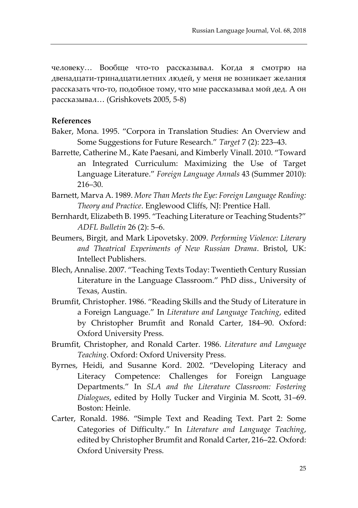человеку… Вообще что-то рассказывал. Когда я смотрю на двенадцати-тринадцатилетних людей, у меня не возникает желания рассказать что-то, подобное тому, что мне рассказывал мой дед. А он рассказывал… (Grishkovets 2005, 5-8)

#### **References**

- Baker, Mona. 1995. "Corpora in Translation Studies: An Overview and Some Suggestions for Future Research." *Target* 7 (2): 223–43.
- Barrette, Catherine M., Kate Paesani, and Kimberly Vinall. 2010. "Toward an Integrated Curriculum: Maximizing the Use of Target Language Literature." *Foreign Language Annals* 43 (Summer 2010): 216–30.
- Barnett, Marva A. 1989. *More Than Meets the Eye: Foreign Language Reading: Theory and Practice*. Englewood Cliffs, NJ: Prentice Hall.
- Bernhardt, Elizabeth B. 1995. "Teaching Literature or Teaching Students?" *ADFL Bulletin* 26 (2): 5–6.
- Beumers, Birgit, and Mark Lipovetsky. 2009. *Performing Violence: Literary and Theatrical Experiments of New Russian Drama*. Bristol, UK: Intellect Publishers.
- Blech, Annalise. 2007. "Teaching Texts Today: Twentieth Century Russian Literature in the Language Classroom." PhD diss., University of Texas, Austin.
- Brumfit, Christopher. 1986. "Reading Skills and the Study of Literature in a Foreign Language." In *Literature and Language Teaching*, edited by Christopher Brumfit and Ronald Carter, 184–90. Oxford: Oxford University Press.
- Brumfit, Christopher, and Ronald Carter. 1986. *Literature and Language Teaching*. Oxford: Oxford University Press.
- Byrnes, Heidi, and Susanne Kord. 2002. "Developing Literacy and Literacy Competence: Challenges for Foreign Language Departments." In *SLA and the Literature Classroom: Fostering Dialogues*, edited by Holly Tucker and Virginia M. Scott, 31–69. Boston: Heinle.
- Carter, Ronald. 1986. "Simple Text and Reading Text. Part 2: Some Categories of Difficulty." In *Literature and Language Teaching*, edited by Christopher Brumfit and Ronald Carter, 216–22. Oxford: Oxford University Press.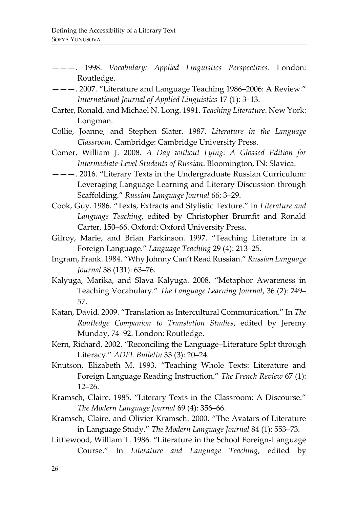- ———. 1998. *Vocabulary: Applied Linguistics Perspectives*. London: Routledge.
- ———. 2007. "Literature and Language Teaching 1986–2006: A Review*.*" *International Journal of Applied Linguistics* 17 (1): 3–13.
- Carter, Ronald, and Michael N. Long. 1991. *Teaching Literature*. New York: Longman.
- Collie, Joanne, and Stephen Slater. 1987. *Literature in the Language Classroom*. Cambridge: Cambridge University Press.
- Comer, William J. 2008. *A Day without Lying*: *A Glossed Edition for Intermediate-Level Students of Russian*. Bloomington, IN: Slavica.
- ———. 2016. "Literary Texts in the Undergraduate Russian Curriculum: Leveraging Language Learning and Literary Discussion through Scaffolding." *Russian Language Journal* 66: 3–29.
- Cook, Guy. 1986. "Texts, Extracts and Stylistic Texture." In *Literature and Language Teaching*, edited by Christopher Brumfit and Ronald Carter, 150–66. Oxford: Oxford University Press.
- Gilroy, Marie, and Brian Parkinson. 1997. "Teaching Literature in a Foreign Language." *Language Teaching* 29 (4): 213–25.
- Ingram, Frank. 1984. "Why Johnny Can't Read Russian." *Russian Language Journal* 38 (131): 63–76.
- Kalyuga, Marika, and Slava Kalyuga. 2008. "Metaphor Awareness in Teaching Vocabulary." *The Language Learning Journal*, 36 (2): 249– 57.
- Katan, David. 2009. "Translation as Intercultural Communication." In *The Routledge Companion to Translation Studies*, edited by Jeremy Munday, 74–92. London: Routledge.
- Kern, Richard. 2002. "Reconciling the Language–Literature Split through Literacy." *ADFL Bulletin* 33 (3): 20–24.
- Knutson, Elizabeth M. 1993. "Teaching Whole Texts: Literature and Foreign Language Reading Instruction." *The French Review* 67 (1): 12–26.
- Kramsch, Claire. 1985. "Literary Texts in the Classroom: A Discourse." *The Modern Language Journal* 69 (4): 356–66.
- Kramsch, Claire, and Olivier Kramsch. 2000. "The Avatars of Literature in Language Study." *The Modern Language Journal* 84 (1): 553–73.
- Littlewood, William T. 1986. "Literature in the School Foreign-Language Course." In *Literature and Language Teaching*, edited by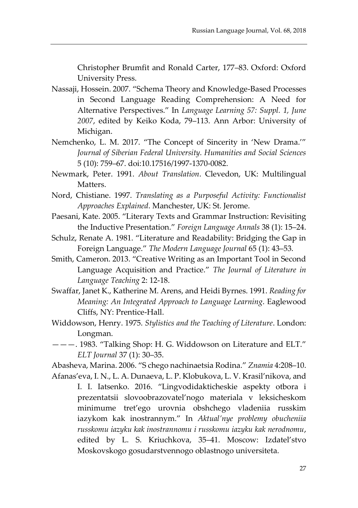Christopher Brumfit and Ronald Carter, 177–83. Oxford: Oxford University Press.

- Nassaji, Hossein. 2007. "Schema Theory and Knowledge-Based Processes in Second Language Reading Comprehension: A Need for Alternative Perspectives." In *Language Learning 57: Suppl. 1, June 2007*, edited by Keiko Koda, 79–113. Ann Arbor: University of Michigan.
- Nemchenko, L. M. 2017. "The Concept of Sincerity in 'New Drama.'" *Journal of Siberian Federal University. Humanities and Social Sciences* 5 (10): 759–67. doi:10.17516/1997-1370-0082.
- Newmark, Peter. 1991. *About Translation*. Clevedon, UK: Multilingual Matters.
- Nord, Chistiane. 1997. *Translating as a Purposeful Activity: Functionalist Approaches Explained*. Manchester, UK: St. Jerome.
- Paesani, Kate. 2005. "Literary Texts and Grammar Instruction: Revisiting the Inductive Presentation." *Foreign Language Annals* 38 (1): 15–24.
- Schulz, Renate A. 1981. "Literature and Readability: Bridging the Gap in Foreign Language." *The Modern Language Journal* 65 (1): 43–53.
- Smith, Cameron. 2013. "Creative Writing as an Important Tool in Second Language Acquisition and Practice." *The Journal of Literature in Language Teaching* 2: 12-18.
- Swaffar, Janet K., Katherine M. Arens, and Heidi Byrnes. 1991. *Reading for Meaning: An Integrated Approach to Language Learning*. Eaglewood Cliffs, NY: Prentice-Hall.
- Widdowson, Henry. 1975. *Stylistics and the Teaching of Literature*. London: Longman.
- ———. 1983. "Talking Shop: H. G. Widdowson on Literature and ELT." *ELT Journal* 37 (1): 30–35.

Abasheva, Marina. 2006. "S chego nachinaetsia Rodina." *Znamia* 4:208–10. Afanas'eva, I. N., L. A. Dunaeva, L. P. Klobukova, L. V. Krasil'nikova, and

I. I. Iatsenko. 2016. "Lingvodidakticheskie aspekty otbora i prezentatsii slovoobrazovatel'nogo materiala v leksicheskom minimume tret'ego urovnia obshchego vladeniia russkim iazykom kak inostrannym." In *Aktual'nye problemy obucheniia russkomu iazyku kak inostrannomu i russkomu iazyku kak nerodnomu*, edited by L. S. Kriuchkova, 35–41. Moscow: Izdatel'stvo Moskovskogo gosudarstvennogo oblastnogo universiteta.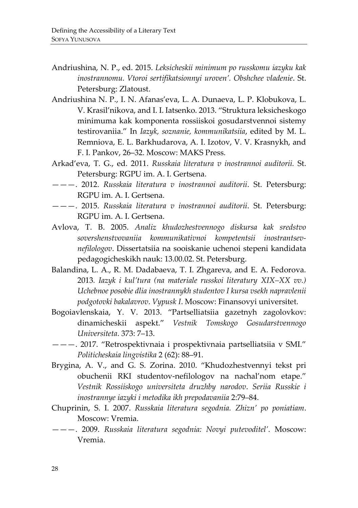- Andriushina, N. P., ed. 2015. *Leksicheskii minimum po russkomu iazyku kak inostrannomu. Vtoroi sertifikatsionnyi uroven'. Obshchee vladenie*. St. Petersburg: Zlatoust.
- Andriushina N. P., I. N. Afanas'eva, L. A. Dunaeva, L. P. Klobukova, L. V. Krasil'nikova, and I. I. Iatsenko. 2013. "Struktura leksicheskogo minimuma kak komponenta rossiiskoi gosudarstvennoi sistemy testirovaniia." In *Iazyk, soznanie, kommunikatsiia*, edited by M. L. Remniova, E. L. Barkhudarova, A. I. Izotov, V. V. Krasnykh, and F. I. Pankov, 26–32. Moscow: MAKS Press.
- Arkad'eva, T. G., ed. 2011. *Russkaia literatura v inostrannoi auditorii.* St. Petersburg: RGPU im. A. I. Gertsena.
- ———. 2012. *Russkaia literatura v inostrannoi auditorii*. St. Petersburg: RGPU im. A. I. Gertsena.
- ———. 2015. *Russkaia literatura v inostrannoi auditorii*. St. Petersburg: RGPU im. A. I. Gertsena.
- Avlova, T. B. 2005. *Analiz khudozhestvennogo diskursa kak sredstvo sovershenstvovaniia kommunikativnoi kompetentsii inostrantsevnefilologov*. Dissertatsiia na sooiskanie uchenoi stepeni kandidata pedagogicheskikh nauk: 13.00.02. St. Petersburg.
- Balandina, L. A., R. M. Dadabaeva, T. I. Zhgareva, and E. A. Fedorova. 2013*. Iazyk i kul'tura (na materiale russkoi literatury XIX–XX vv.) Uchebnoe posobie dlia inostrannykh studentov I kursa vsekh napravlenii podgotovki bakalavrov*. *Vypusk I*. Moscow: Finansovyi universitet.
- Bogoiavlenskaia, Y. V. 2013. "Partselliatsiia gazetnyh zagolovkov: dinamicheskii aspekt." *Vestnik Tomskogo Gosudarstvennogo Universiteta*. 373: 7–13.
- ———. 2017. "Retrospektivnaia i prospektivnaia partselliatsiia v SMI." *Politicheskaia lingvistika* 2 (62): 88–91.
- Brygina, A. V., and G. S. Zorina. 2010. "Khudozhestvennyi tekst pri obuchenii RKI studentov-nefilologov na nachal'nom etape." *Vestnik Rossiiskogo universiteta druzhby narodov*. *Seriia Russkie i inostrannye iazyki i metodika ikh prepodavaniia* 2:79–84.
- Chuprinin, S. I. 2007. *Russkaia literatura segodnia. Zhizn' po poniatiam*. Moscow: Vremia.
- ———. 2009. *Russkaia literatura segodnia: Novyi putevoditel'*. Moscow: Vremia.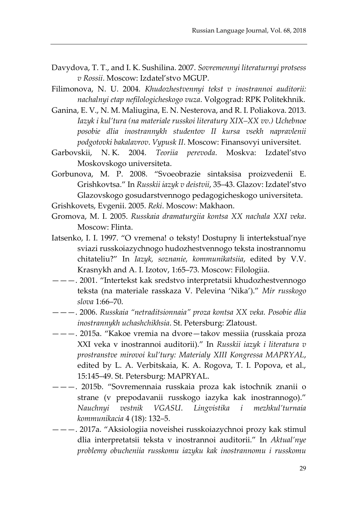- Davydova, T. T., and I. K. Sushilina. 2007. *Sovremennyi literaturnyi protsess v Rossii*. Moscow: Izdatel'stvo MGUP.
- Filimonova, N. U. 2004. *Khudozhestvennyi tekst v inostrannoi auditorii: nachalnyi etap nefilologicheskogo vuza*. Volgograd: RPK Politekhnik.
- Ganina, E. V., N. M. Maliugina, E. N. Nesterova, and R. I. Poliakova. 2013. *Iazyk i kul'tura (na materiale russkoi literatury XIX–XX vv.) Uchebnoe posobie dlia inostrannykh studentov II kursa vsekh napravlenii podgotovki bakalavrov*. *Vypusk II*. Moscow: Finansovyi universitet.
- Garbovskii, N. K. 2004. *Teoriia perevoda*. Moskva: Izdatel'stvo Moskovskogo universiteta.
- Gorbunova, M. P. 2008. "Svoeobrazie sintaksisa proizvedenii E. Grishkovtsa." In *Russkii iazyk v deistvii*, 35–43. Glazov: Izdatel'stvo Glazovskogo gosudarstvennogo pedagogicheskogo universiteta.
- Grishkovets, Evgenii. 2005. *Reki*. Moscow: Makhaon.
- Gromova, M. I. 2005. *Russkaia dramaturgiia kontsa XX nachala XXI veka*. Moscow: Flinta.
- Iatsenko, I. I. 1997. "O vremena! o teksty! Dostupny li intertekstual'nye sviazi russkoiazychnogo hudozhestvennogo teksta inostrannomu chitateliu?" In *Iazyk, soznanie, kommunikatsiia*, edited by V.V. Krasnykh and A. I. Izotov, 1:65–73. Moscow: Filologiia.
- ———. 2001. "Intertekst kak sredstvo interpretatsii khudozhestvennogo teksta (na materiale rasskaza V. Pelevina 'Nika')." *Mir russkogo slova* 1:66–70.
- ———. 2006. *Russkaia "netraditsionnaia" proza kontsa XX veka. Posobie dlia inostrannykh uchashchikhsia*. St. Petersburg: Zlatoust.
- ———. 2015a. "Kakoe vremia na dvore—takov messiia (russkaia proza XXI veka v inostrannoi auditorii)." In *Russkii iazyk i literatura v prostranstve mirovoi kul'tury: Materialy XIII Kongressa MAPRYAL*, edited by L. A. Verbitskaia, K. A. Rogova, T. I. Popova, et al., 15:145–49. St. Petersburg: MAPRYAL.
- ———. 2015b. "Sovremennaia russkaia proza kak istochnik znanii o strane (v prepodavanii russkogo iazyka kak inostrannogo)." *Nauchnyi vestnik VGASU*. *Lingvistika i mezhkul'turnaia kommunikacia* 4 (18): 132–5.
- ———. 2017a. "Aksiologiia noveishei russkoiazychnoi prozy kak stimul dlia interpretatsii teksta v inostrannoi auditorii." In *Aktual'nye problemy obucheniia russkomu iazyku kak inostrannomu i russkomu*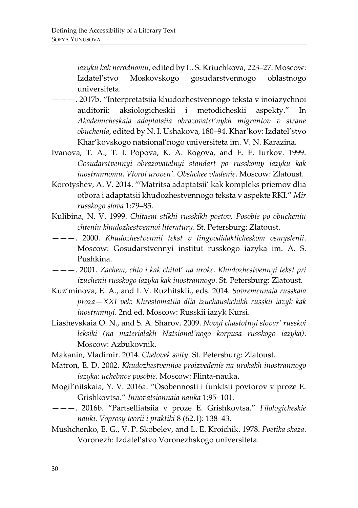*iazyku kak nerodnomu*, edited by L. S. Kriuchkova, 223–27. Moscow: Izdatel'stvo Moskovskogo gosudarstvennogo oblastnogo universiteta.

- ———. 2017b. "Interpretatsiia khudozhestvennogo teksta v inoiazychnoi auditorii: aksiologicheskii i metodicheskii aspekty." In *Akademicheskaia adaptatsiia obrazovatel'nykh migrantov v strane obuchenia*, edited by N. I. Ushakova, 180–94. Khar'kov: Izdatel'stvo Khar'kovskogo natsional'nogo universiteta im. V. N. Karazina.
- Ivanova, T. A., T. I. Popova, K. A. Rogova, and E. E. Iurkov. 1999. *Gosudarstvennyi obrazovatelnyi standart po russkomy iazyku kak inostrannomu. Vtoroi uroven'. Obshchee vladenie*. Moscow: Zlatoust.
- Korotyshev, A. V. 2014. "'Matritsa adaptatsii' kak kompleks priemov dlia otbora i adaptatsii khudozhestvennogo teksta v aspekte RKI." *Mir russkogo slova* 1:79–85.
- Kulibina, N. V. 1999. *Chitaem stikhi russkikh poetov. Posobie po obucheniu chteniu khudozhestvennoi literatury*. St. Petersburg: Zlatoust.
- ———. 2000. *Khudozhestvennii tekst v lingvodidakticheskom osmyslenii*. Moscow: Gosudarstvennyi institut russkogo iazyka im. A. S. Pushkina.
- ———. 2001. *Zachem, chto i kak chita*t' *na uroke. Khudozhestvennyi tekst pri izuchenii russkogo iazyka kak inostrannogo*. St. Petersburg: Zlatoust.
- Kuz'minova, E. A., and I. V. Ruzhitskii., eds. 2014. *Sovremennaia russkaia proza—XXI vek: Khrestomatiia dlia izuchaushchikh russkii iazyk kak inostrannyi*. 2nd ed. Moscow: Russkii iazyk Kursi.
- Liashevskaia O. N., and S. A. Sharov. 2009. *Novyi chastotnyi slovar' russkoi leksiki (na materialakh Natsional'nogo korpusa russkogo iazyka)*. Moscow: Azbukovnik.
- Makanin, Vladimir. 2014. *Chelovek svity.* St. Petersburg: Zlatoust.
- Matron, E. D. 2002. *Khudozhestvennoe proizvedenie na urokakh inostrannogo iazyka: uchebnoe posobie*. Moscow: Flinta-nauka.
- Mogil'nitskaia, Y. V. 2016a. "Osobennosti i funktsii povtorov v proze E. Grishkovtsa." *Innovatsionnaia nauka* 1:95–101.
- ———. 2016b. "Partselliatsiia v proze E. Grishkovtsa." *Filologicheskie nauki. Voprosy teorii i praktiki* 8 (62.1): 138–43.
- Mushchenko, E. G., V. P. Skobelev, and L. E. Kroichik. 1978. *Poetika skaza*. Voronezh: Izdatel'stvo Voronezhskogo universiteta.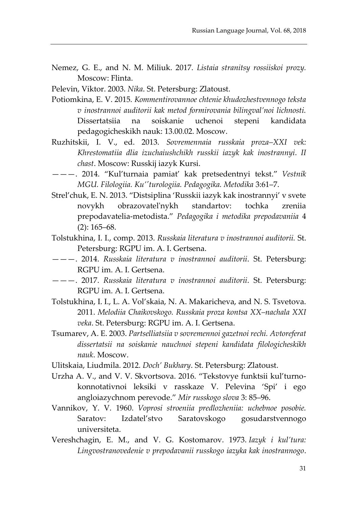Nemez, G. E., and N. M. Miliuk. 2017. *Listaia stranitsy rossiiskoi prozy.* Moscow: Flinta.

Pelevin, Viktor. 2003. *Nika*. St. Petersburg: Zlatoust.

- Potiomkina, E. V. 2015. *Kommentirovannoe chtenie khudozhestvennogo teksta v inostrannoi auditorii kak metod formirovania bilingval'noi lichnosti.*  Dissertatsiia na soiskanie uchenoi stepeni kandidata pedagogicheskikh nauk: 13.00.02. Moscow.
- Ruzhitskii, I. V., ed. 2013. *Sovremennaia russkaia proza–XXI vek: Khrestomatiia dlia izuchaiushchikh russkii iazyk kak inostrannyi*. *II chast*. Moscow: Russkij iazyk Kursi.
- ———. 2014. "Kul'turnaia pamiat' kak pretsedentnyi tekst." *Vestnik MGU. Filologiia. Ku''turologiia. Pedagogika. Metodika* 3:61–7.
- Strel'chuk, E. N. 2013. "Distsiplina 'Russkii iazyk kak inostrannyi' v svete novykh obrazovatel'nykh standartov: tochka zreniia prepodavatelia-metodista." *Pedagogika i metodika prepodavaniia* 4 (2): 165–68.
- Tolstukhina, I. I., comp. 2013. *Russkaia literatura v inostrannoi auditorii.* St. Petersburg: RGPU im. A. I. Gertsena.
- ———. 2014. *Russkaia literatura v inostrannoi auditorii*. St. Petersburg: RGPU im. A. I. Gertsena.
- ———. 2017. *Russkaia literatura v inostrannoi auditorii*. St. Petersburg: RGPU im. A. I. Gertsena.
- Tolstukhina, I. I., L. A. Vol'skaia, N. A. Makaricheva, and N. S. Tsvetova. 2011. *Melodiia Chaikovskogo. Russkaia proza kontsa XX–nachala XXI veka*. St. Petersburg: RGPU im. A. I. Gertsena.
- Tsumarev, A. E. 2003. *Partselliatsiia v sovremennoi gazetnoi rechi. Avtoreferat dissertatsii na soiskanie nauchnoi stepeni kandidata filologicheskikh nauk*. Moscow.

Ulitskaia, Liudmila. 2012. *Doch' Bukhary*. St. Petersburg: Zlatoust.

- Urzha A. V., and V. V. Skvortsova. 2016. "Tekstovye funktsii kul'turnokonnotativnoi leksiki v rasskaze V. Pelevina 'Spi' i ego angloiazychnom perevode." *Mir russkogo slova* 3: 85–96.
- Vannikov, Y. V. 1960. *Voprosi stroeniia predlozheniia: uchebnoe posobie.* Saratov: Izdatel'stvo Saratovskogo gosudarstvennogo universiteta.
- Vereshchagin, E. M., and V. G. Kostomarov. 1973. *Iazyk i kul'tura: Lingvostranovedenie v prepodavanii russkogo iazyka kak inostrannogo*.